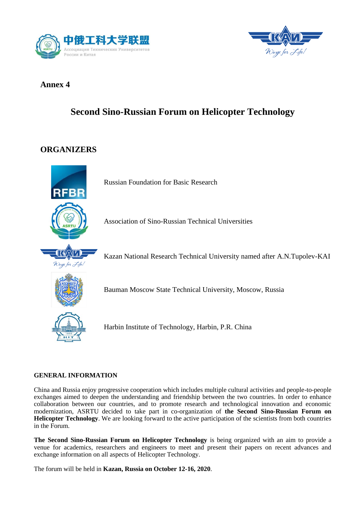



## **Annex 4**

# **Second Sino-Russian Forum on Helicopter Technology**

## **ORGANIZERS**



Russian Foundation for Basic Research

Association of Sino-Russian Technical Universities

Kazan National Research Technical University named after A.N.Tupolev-KAI

Bauman Moscow State Technical University, Moscow, Russia



Harbin Institute of Technology, Harbin, P.R. China

### **GENERAL INFORMATION**

China and Russia enjoy progressive cooperation which includes multiple cultural activities and people-to-people exchanges aimed to deepen the understanding and friendship between the two countries. In order to enhance collaboration between our countries, and to promote research and technological innovation and economic modernization, ASRTU decided to take part in co-organization of **the Second Sino-Russian Forum on Helicopter Technology**. We are looking forward to the active participation of the scientists from both countries in the Forum.

**The Second Sino-Russian Forum on Helicopter Technology** is being organized with an aim to provide a venue for academics, researchers and engineers to meet and present their papers on recent advances and exchange information on all aspects of Helicopter Technology.

The forum will be held in **Kazan, Russia on October 12-16, 2020**.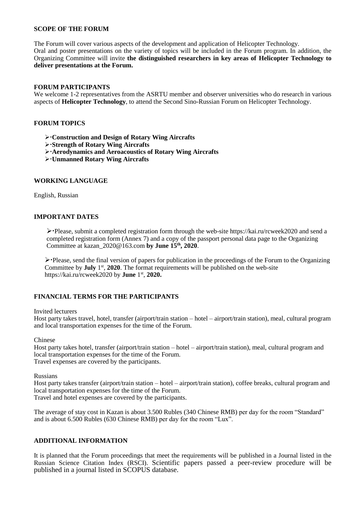#### **SCOPE OF THE FORUM**

The Forum will cover various aspects of the development and application of Helicopter Technology. Oral and poster presentations on the variety of topics will be included in the Forum program. In addition, the Organizing Committee will invite **the distinguished researchers in key areas of Helicopter Technology to deliver presentations at the Forum.**

#### **FORUM PARTICIPANTS**

We welcome 1-2 representatives from the ASRTU member and observer universities who do research in various aspects of **Helicopter Technology**, to attend the Second Sino-Russian Forum on Helicopter Technology.

#### **FORUM TOPICS**

**Construction and Design of Rotary Wing Aircrafts**

- **Strength of Rotary Wing Aircrafts**
- **Aerodynamics and Aeroacoustics of Rotary Wing Aircrafts**
- **Unmanned Rotary Wing Aircrafts**

#### **WORKING LANGUAGE**

English, Russian

#### **IMPORTANT DATES**

 $\triangleright$  Please, submit a completed registration form through the web-site https://kai.ru/rcweek2020 and send a completed registration form (Annex 7) and a copy of the passport personal data page to the Organizing Committee at kazan\_2020@163.com **by June 15 th, 2020**.

Please, send the final version of papers for publication in the proceedings of the Forum to the Organizing Committee by **July** 1<sup>st</sup>, 2020. The format requirements will be published on the web-site https://kai.ru/rcweek2020 by **June** 1 st , **2020.**

#### **FINANCIAL TERMS FOR THE PARTICIPANTS**

Invited lecturers

Host party takes travel, hotel, transfer (airport/train station – hotel – airport/train station), meal, cultural program and local transportation expenses for the time of the Forum.

Chinese

Host party takes hotel, transfer (airport/train station – hotel – airport/train station), meal, cultural program and local transportation expenses for the time of the Forum. Travel expenses are covered by the participants.

Russians

Host party takes transfer (airport/train station – hotel – airport/train station), coffee breaks, cultural program and local transportation expenses for the time of the Forum. Travel and hotel expenses are covered by the participants.

The average of stay cost in Kazan is about 3.500 Rubles (340 Chinese RMB) per day for the room "Standard" and is about 6.500 Rubles (630 Chinese RMB) per day for the room "Lux".

#### **ADDITIONAL INFORMATION**

It is planned that the Forum proceedings that meet the requirements will be published in a Journal listed in the Russian Science Citation Index (RSCI). Scientific papers passed a peer-review procedure will be published in a journal listed in SCOPUS database.